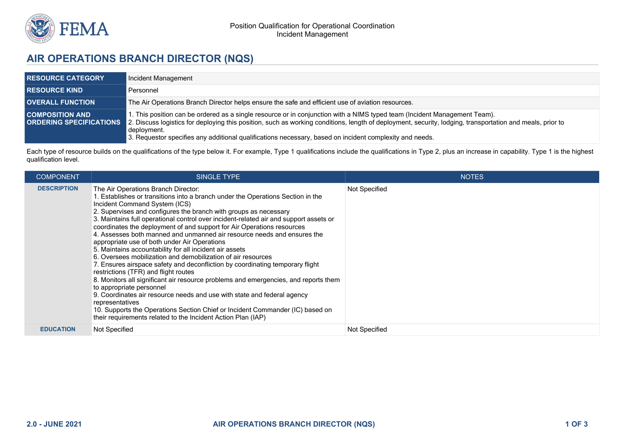

## **AIR OPERATIONS BRANCH DIRECTOR (NQS)**

| <b>RESOURCE CATEGORY</b> | Incident Management                                                                                                                                                                                                                                                                                                                                                                                                                             |
|--------------------------|-------------------------------------------------------------------------------------------------------------------------------------------------------------------------------------------------------------------------------------------------------------------------------------------------------------------------------------------------------------------------------------------------------------------------------------------------|
| <b>RESOURCE KIND</b>     | Personnel                                                                                                                                                                                                                                                                                                                                                                                                                                       |
| <b>OVERALL FUNCTION</b>  | The Air Operations Branch Director helps ensure the safe and efficient use of aviation resources.                                                                                                                                                                                                                                                                                                                                               |
| <b>COMPOSITION AND</b>   | 1. This position can be ordered as a single resource or in conjunction with a NIMS typed team (Incident Management Team).<br><b>ORDERING SPECIFICATIONS</b> 2. Discuss logistics for deploying this position, such as working conditions, length of deployment, security, lodging, transportation and meals, prior to<br>deployment.<br>3. Requestor specifies any additional qualifications necessary, based on incident complexity and needs. |

Each type of resource builds on the qualifications of the type below it. For example, Type 1 qualifications include the qualifications in Type 2, plus an increase in capability. Type 1 is the highest qualification level.

| <b>COMPONENT</b>   | <b>SINGLE TYPE</b>                                                                                                                                                                                                                                                                                                                                                                                                                                                                                                                                                                                                                                                                                                                                                                                                                                                                                                                                                                                                                                                                                                                              | <b>NOTES</b>  |
|--------------------|-------------------------------------------------------------------------------------------------------------------------------------------------------------------------------------------------------------------------------------------------------------------------------------------------------------------------------------------------------------------------------------------------------------------------------------------------------------------------------------------------------------------------------------------------------------------------------------------------------------------------------------------------------------------------------------------------------------------------------------------------------------------------------------------------------------------------------------------------------------------------------------------------------------------------------------------------------------------------------------------------------------------------------------------------------------------------------------------------------------------------------------------------|---------------|
| <b>DESCRIPTION</b> | The Air Operations Branch Director:<br>1. Establishes or transitions into a branch under the Operations Section in the<br>Incident Command System (ICS)<br>2. Supervises and configures the branch with groups as necessary<br>3. Maintains full operational control over incident-related air and support assets or<br>coordinates the deployment of and support for Air Operations resources<br>4. Assesses both manned and unmanned air resource needs and ensures the<br>appropriate use of both under Air Operations<br>5. Maintains accountability for all incident air assets<br>6. Oversees mobilization and demobilization of air resources<br>7. Ensures airspace safety and deconfliction by coordinating temporary flight<br>restrictions (TFR) and flight routes<br>8. Monitors all significant air resource problems and emergencies, and reports them<br>to appropriate personnel<br>9. Coordinates air resource needs and use with state and federal agency<br>representatives<br>10. Supports the Operations Section Chief or Incident Commander (IC) based on<br>their requirements related to the Incident Action Plan (IAP) | Not Specified |
| <b>EDUCATION</b>   | Not Specified                                                                                                                                                                                                                                                                                                                                                                                                                                                                                                                                                                                                                                                                                                                                                                                                                                                                                                                                                                                                                                                                                                                                   | Not Specified |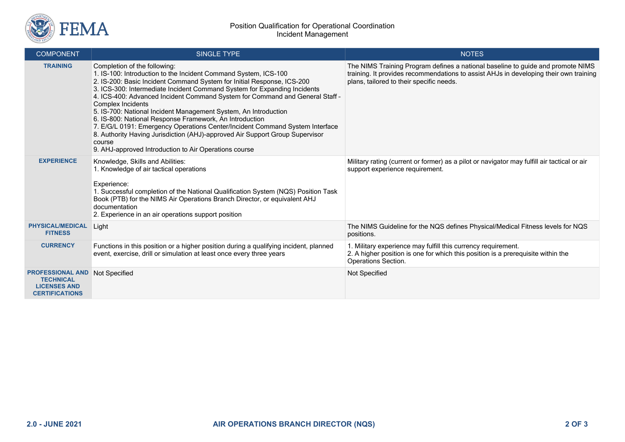

| <b>COMPONENT</b>                                                                            | <b>SINGLE TYPE</b>                                                                                                                                                                                                                                                                                                                                                                                                                                                                                                                                                                                                                                                                                                          | <b>NOTES</b>                                                                                                                                                                                                         |
|---------------------------------------------------------------------------------------------|-----------------------------------------------------------------------------------------------------------------------------------------------------------------------------------------------------------------------------------------------------------------------------------------------------------------------------------------------------------------------------------------------------------------------------------------------------------------------------------------------------------------------------------------------------------------------------------------------------------------------------------------------------------------------------------------------------------------------------|----------------------------------------------------------------------------------------------------------------------------------------------------------------------------------------------------------------------|
| <b>TRAINING</b>                                                                             | Completion of the following:<br>1. IS-100: Introduction to the Incident Command System, ICS-100<br>2. IS-200: Basic Incident Command System for Initial Response, ICS-200<br>3. ICS-300: Intermediate Incident Command System for Expanding Incidents<br>4. ICS-400: Advanced Incident Command System for Command and General Staff -<br>Complex Incidents<br>5. IS-700: National Incident Management System, An Introduction<br>6. IS-800: National Response Framework, An Introduction<br>7. E/G/L 0191: Emergency Operations Center/Incident Command System Interface<br>8. Authority Having Jurisdiction (AHJ)-approved Air Support Group Supervisor<br>course<br>9. AHJ-approved Introduction to Air Operations course | The NIMS Training Program defines a national baseline to guide and promote NIMS<br>training. It provides recommendations to assist AHJs in developing their own training<br>plans, tailored to their specific needs. |
| <b>EXPERIENCE</b>                                                                           | Knowledge, Skills and Abilities:<br>1. Knowledge of air tactical operations<br>Experience:<br>1. Successful completion of the National Qualification System (NQS) Position Task<br>Book (PTB) for the NIMS Air Operations Branch Director, or equivalent AHJ<br>documentation<br>2. Experience in an air operations support position                                                                                                                                                                                                                                                                                                                                                                                        | Military rating (current or former) as a pilot or navigator may fulfill air tactical or air<br>support experience requirement.                                                                                       |
| <b>PHYSICAL/MEDICAL</b><br><b>FITNESS</b>                                                   | Light                                                                                                                                                                                                                                                                                                                                                                                                                                                                                                                                                                                                                                                                                                                       | The NIMS Guideline for the NQS defines Physical/Medical Fitness levels for NQS<br>positions.                                                                                                                         |
| <b>CURRENCY</b>                                                                             | Functions in this position or a higher position during a qualifying incident, planned<br>event, exercise, drill or simulation at least once every three years                                                                                                                                                                                                                                                                                                                                                                                                                                                                                                                                                               | 1. Military experience may fulfill this currency requirement.<br>2. A higher position is one for which this position is a prerequisite within the<br>Operations Section.                                             |
| <b>PROFESSIONAL AND</b><br><b>TECHNICAL</b><br><b>LICENSES AND</b><br><b>CERTIFICATIONS</b> | Not Specified                                                                                                                                                                                                                                                                                                                                                                                                                                                                                                                                                                                                                                                                                                               | Not Specified                                                                                                                                                                                                        |